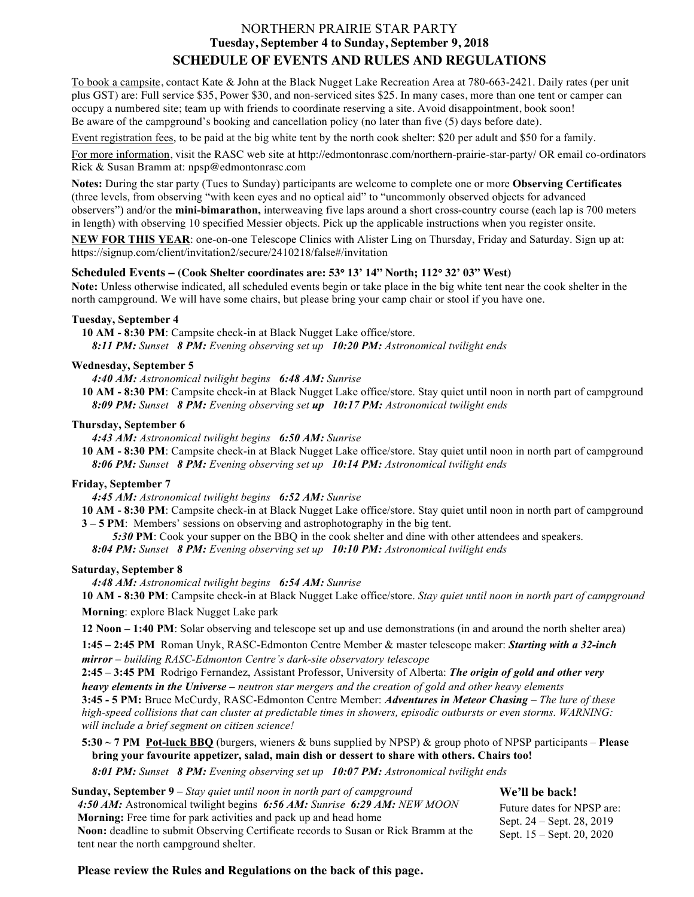# NORTHERN PRAIRIE STAR PARTY **Tuesday, September 4 to Sunday, September 9, 2018 SCHEDULE OF EVENTS AND RULES AND REGULATIONS**

To book a campsite, contact Kate & John at the Black Nugget Lake Recreation Area at 780-663-2421. Daily rates (per unit plus GST) are: Full service \$35, Power \$30, and non-serviced sites \$25. In many cases, more than one tent or camper can occupy a numbered site; team up with friends to coordinate reserving a site. Avoid disappointment, book soon! Be aware of the campground's booking and cancellation policy (no later than five (5) days before date).

Event registration fees, to be paid at the big white tent by the north cook shelter: \$20 per adult and \$50 for a family.

For more information, visit the RASC web site at http://edmontonrasc.com/northern-prairie-star-party/ OR email co-ordinators Rick & Susan Bramm at: npsp@edmontonrasc.com

**Notes:** During the star party (Tues to Sunday) participants are welcome to complete one or more **Observing Certificates** (three levels, from observing "with keen eyes and no optical aid" to "uncommonly observed objects for advanced observers") and/or the **mini-bimarathon,** interweaving five laps around a short cross-country course (each lap is 700 meters in length) with observing 10 specified Messier objects. Pick up the applicable instructions when you register onsite.

**NEW FOR THIS YEAR**: one-on-one Telescope Clinics with Alister Ling on Thursday, Friday and Saturday. Sign up at: https://signup.com/client/invitation2/secure/2410218/false#/invitation

#### **Scheduled Events – (Cook Shelter coordinates are: 53**° **13' 14" North; 112**° **32' 03" West)**

**Note:** Unless otherwise indicated, all scheduled events begin or take place in the big white tent near the cook shelter in the north campground. We will have some chairs, but please bring your camp chair or stool if you have one.

# **Tuesday, September 4**

**10 AM - 8:30 PM**: Campsite check-in at Black Nugget Lake office/store. *8:11 PM: Sunset 8 PM: Evening observing set up 10:20 PM: Astronomical twilight ends*

#### **Wednesday, September 5**

*4:40 AM: Astronomical twilight begins 6:48 AM: Sunrise*

**10 AM - 8:30 PM**: Campsite check-in at Black Nugget Lake office/store. Stay quiet until noon in north part of campground *8:09 PM: Sunset 8 PM: Evening observing set up 10:17 PM: Astronomical twilight ends*

#### **Thursday, September 6**

*4:43 AM: Astronomical twilight begins 6:50 AM: Sunrise*

**10 AM - 8:30 PM**: Campsite check-in at Black Nugget Lake office/store. Stay quiet until noon in north part of campground *8:06 PM: Sunset 8 PM: Evening observing set up 10:14 PM: Astronomical twilight ends*

# **Friday, September 7**

*4:45 AM: Astronomical twilight begins 6:52 AM: Sunrise*

**10 AM - 8:30 PM**: Campsite check-in at Black Nugget Lake office/store. Stay quiet until noon in north part of campground **3 – 5 PM**: Members' sessions on observing and astrophotography in the big tent.

*5:30* **PM**: Cook your supper on the BBQ in the cook shelter and dine with other attendees and speakers.

*8:04 PM: Sunset 8 PM: Evening observing set up 10:10 PM: Astronomical twilight ends*

# **Saturday, September 8**

*4:48 AM: Astronomical twilight begins 6:54 AM: Sunrise*

**10 AM - 8:30 PM**: Campsite check-in at Black Nugget Lake office/store. *Stay quiet until noon in north part of campground* **Morning**: explore Black Nugget Lake park

**12 Noon – 1:40 PM**: Solar observing and telescope set up and use demonstrations (in and around the north shelter area)

**1:45 – 2:45 PM** Roman Unyk, RASC-Edmonton Centre Member & master telescope maker: *Starting with a 32-inch mirror – building RASC-Edmonton Centre's dark-site observatory telescope*

**2:45 – 3:45 PM** Rodrigo Fernandez, Assistant Professor, University of Alberta: *The origin of gold and other very heavy elements in the Universe – neutron star mergers and the creation of gold and other heavy elements*

**3:45 - 5 PM:** Bruce McCurdy, RASC-Edmonton Centre Member: *Adventures in Meteor Chasing – The lure of these high-speed collisions that can cluster at predictable times in showers, episodic outbursts or even storms. WARNING: will include a brief segment on citizen science!*

# **5:30 ~ 7 PM Pot-luck BBQ** (burgers, wieners & buns supplied by NPSP) & group photo of NPSP participants – **Please bring your favourite appetizer, salad, main dish or dessert to share with others. Chairs too!**

*8:01 PM: Sunset 8 PM: Evening observing set up 10:07 PM: Astronomical twilight ends*

| <b>Sunday, September 9</b> – Stay quiet until noon in north part of campground              | We'll be back!                                           |
|---------------------------------------------------------------------------------------------|----------------------------------------------------------|
| 4:50 AM: Astronomical twilight begins 6:56 AM: Sunrise 6:29 AM: NEW MOON                    | Future dates for NPSP are:                               |
| <b>Morning:</b> Free time for park activities and pack up and head home                     | Sept. 24 – Sept. 28, 2019<br>Sept. $15 -$ Sept. 20, 2020 |
| <b>Noon:</b> deadline to submit Observing Certificate records to Susan or Rick Bramm at the |                                                          |
| tent near the north campground shelter.                                                     |                                                          |

**Please review the Rules and Regulations on the back of this page.**